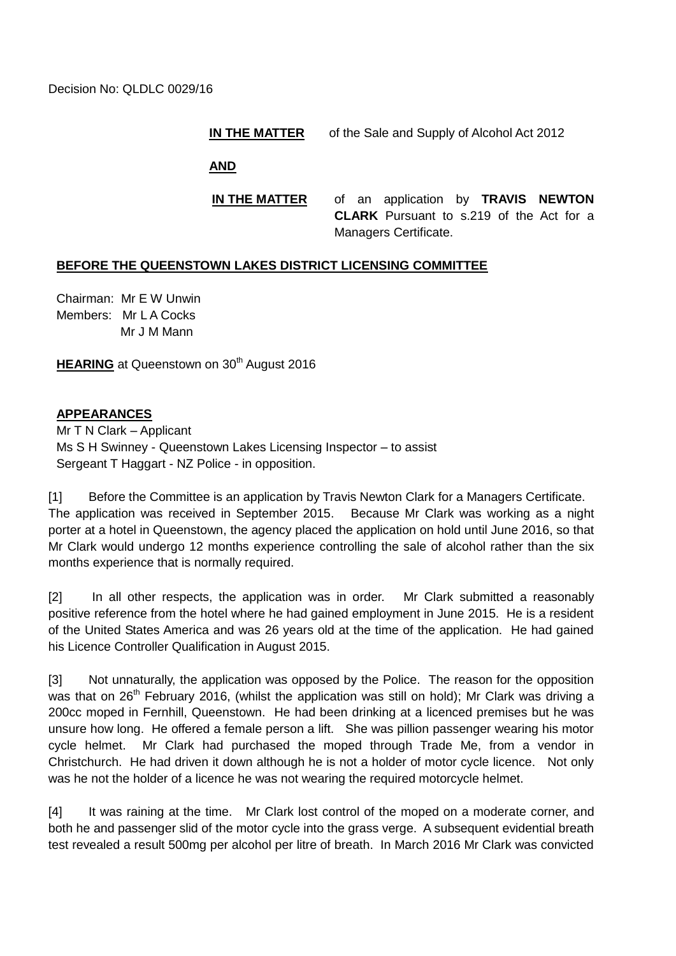## **IN THE MATTER** of the Sale and Supply of Alcohol Act 2012

**AND**

**IN THE MATTER** of an application by **TRAVIS NEWTON CLARK** Pursuant to s.219 of the Act for a Managers Certificate.

## **BEFORE THE QUEENSTOWN LAKES DISTRICT LICENSING COMMITTEE**

Chairman: Mr E W Unwin Members: Mr L A Cocks Mr J M Mann

**HEARING** at Queenstown on 30<sup>th</sup> August 2016

## **APPEARANCES**

Mr T N Clark – Applicant Ms S H Swinney - Queenstown Lakes Licensing Inspector – to assist Sergeant T Haggart - NZ Police - in opposition.

[1] Before the Committee is an application by Travis Newton Clark for a Managers Certificate. The application was received in September 2015. Because Mr Clark was working as a night porter at a hotel in Queenstown, the agency placed the application on hold until June 2016, so that Mr Clark would undergo 12 months experience controlling the sale of alcohol rather than the six months experience that is normally required.

[2] In all other respects, the application was in order. Mr Clark submitted a reasonably positive reference from the hotel where he had gained employment in June 2015. He is a resident of the United States America and was 26 years old at the time of the application. He had gained his Licence Controller Qualification in August 2015.

[3] Not unnaturally, the application was opposed by the Police. The reason for the opposition was that on  $26<sup>th</sup>$  February 2016, (whilst the application was still on hold); Mr Clark was driving a 200cc moped in Fernhill, Queenstown. He had been drinking at a licenced premises but he was unsure how long. He offered a female person a lift. She was pillion passenger wearing his motor cycle helmet. Mr Clark had purchased the moped through Trade Me, from a vendor in Christchurch. He had driven it down although he is not a holder of motor cycle licence. Not only was he not the holder of a licence he was not wearing the required motorcycle helmet.

[4] It was raining at the time. Mr Clark lost control of the moped on a moderate corner, and both he and passenger slid of the motor cycle into the grass verge. A subsequent evidential breath test revealed a result 500mg per alcohol per litre of breath. In March 2016 Mr Clark was convicted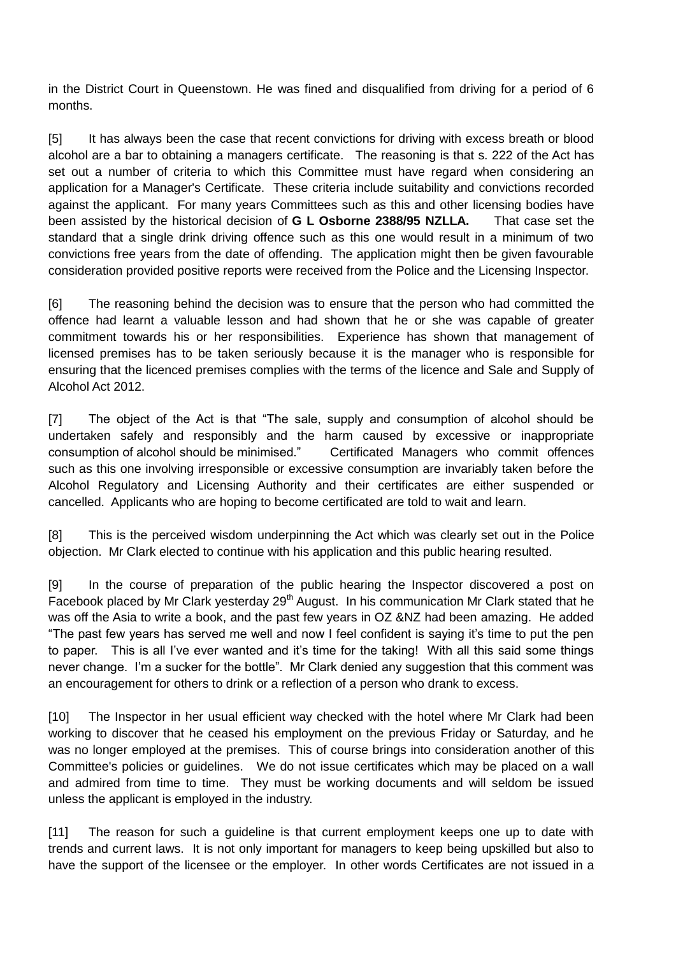in the District Court in Queenstown. He was fined and disqualified from driving for a period of 6 months.

[5] It has always been the case that recent convictions for driving with excess breath or blood alcohol are a bar to obtaining a managers certificate. The reasoning is that s. 222 of the Act has set out a number of criteria to which this Committee must have regard when considering an application for a Manager's Certificate. These criteria include suitability and convictions recorded against the applicant. For many years Committees such as this and other licensing bodies have been assisted by the historical decision of **G L Osborne 2388/95 NZLLA.** That case set the standard that a single drink driving offence such as this one would result in a minimum of two convictions free years from the date of offending. The application might then be given favourable consideration provided positive reports were received from the Police and the Licensing Inspector.

[6] The reasoning behind the decision was to ensure that the person who had committed the offence had learnt a valuable lesson and had shown that he or she was capable of greater commitment towards his or her responsibilities. Experience has shown that management of licensed premises has to be taken seriously because it is the manager who is responsible for ensuring that the licenced premises complies with the terms of the licence and Sale and Supply of Alcohol Act 2012.

[7] The object of the Act is that "The sale, supply and consumption of alcohol should be undertaken safely and responsibly and the harm caused by excessive or inappropriate consumption of alcohol should be minimised." Certificated Managers who commit offences such as this one involving irresponsible or excessive consumption are invariably taken before the Alcohol Regulatory and Licensing Authority and their certificates are either suspended or cancelled. Applicants who are hoping to become certificated are told to wait and learn.

[8] This is the perceived wisdom underpinning the Act which was clearly set out in the Police objection. Mr Clark elected to continue with his application and this public hearing resulted.

[9] In the course of preparation of the public hearing the Inspector discovered a post on Facebook placed by Mr Clark yesterday  $29<sup>th</sup>$  August. In his communication Mr Clark stated that he was off the Asia to write a book, and the past few years in OZ &NZ had been amazing. He added "The past few years has served me well and now I feel confident is saying it's time to put the pen to paper. This is all I've ever wanted and it's time for the taking! With all this said some things never change. I'm a sucker for the bottle". Mr Clark denied any suggestion that this comment was an encouragement for others to drink or a reflection of a person who drank to excess.

[10] The Inspector in her usual efficient way checked with the hotel where Mr Clark had been working to discover that he ceased his employment on the previous Friday or Saturday, and he was no longer employed at the premises. This of course brings into consideration another of this Committee's policies or guidelines. We do not issue certificates which may be placed on a wall and admired from time to time. They must be working documents and will seldom be issued unless the applicant is employed in the industry.

[11] The reason for such a guideline is that current employment keeps one up to date with trends and current laws. It is not only important for managers to keep being upskilled but also to have the support of the licensee or the employer. In other words Certificates are not issued in a